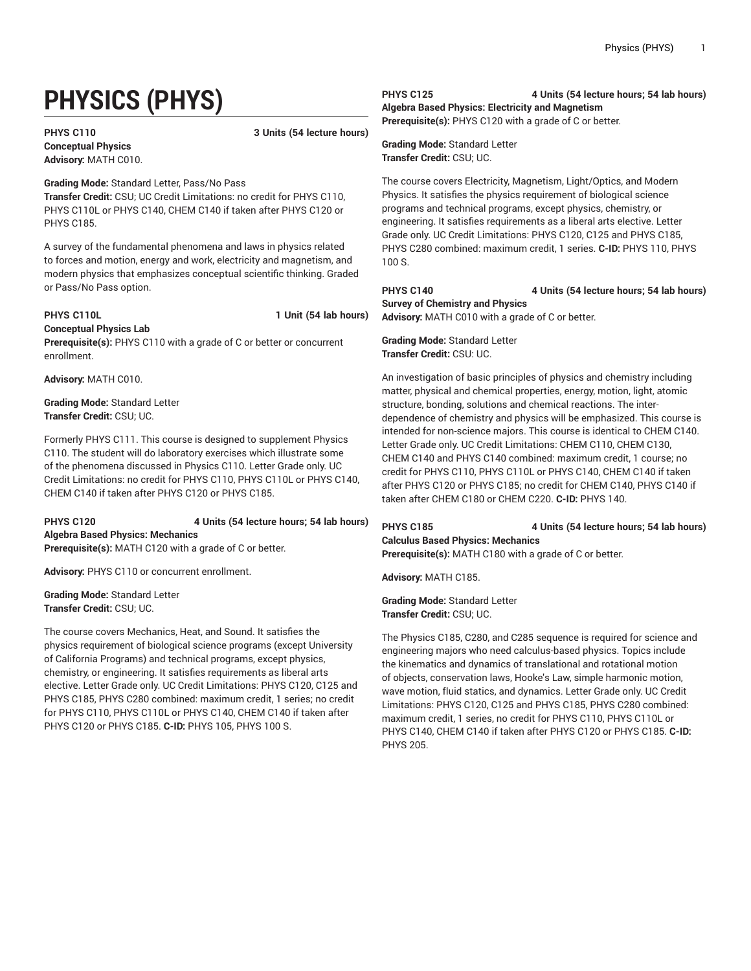# **PHYSICS (PHYS)**

**Conceptual Physics Advisory:** MATH C010.

**PHYS C110 3 Units (54 lecture hours)**

**Grading Mode:** Standard Letter, Pass/No Pass **Transfer Credit:** CSU; UC Credit Limitations: no credit for PHYS C110, PHYS C110L or PHYS C140, CHEM C140 if taken after PHYS C120 or PHYS C185.

A survey of the fundamental phenomena and laws in physics related to forces and motion, energy and work, electricity and magnetism, and modern physics that emphasizes conceptual scientific thinking. Graded or Pass/No Pass option.

**PHYS C110L 1 Unit (54 lab hours)**

**Conceptual Physics Lab**

**Prerequisite(s):** PHYS C110 with a grade of C or better or concurrent enrollment.

**Advisory:** MATH C010.

**Grading Mode:** Standard Letter **Transfer Credit:** CSU; UC.

Formerly PHYS C111. This course is designed to supplement Physics C110. The student will do laboratory exercises which illustrate some of the phenomena discussed in Physics C110. Letter Grade only. UC Credit Limitations: no credit for PHYS C110, PHYS C110L or PHYS C140, CHEM C140 if taken after PHYS C120 or PHYS C185.

## **PHYS C120 4 Units (54 lecture hours; 54 lab hours) Algebra Based Physics: Mechanics**

**Prerequisite(s):** MATH C120 with a grade of C or better.

**Advisory:** PHYS C110 or concurrent enrollment.

**Grading Mode:** Standard Letter **Transfer Credit:** CSU; UC.

The course covers Mechanics, Heat, and Sound. It satisfies the physics requirement of biological science programs (except University of California Programs) and technical programs, except physics, chemistry, or engineering. It satisfies requirements as liberal arts elective. Letter Grade only. UC Credit Limitations: PHYS C120, C125 and PHYS C185, PHYS C280 combined: maximum credit, 1 series; no credit for PHYS C110, PHYS C110L or PHYS C140, CHEM C140 if taken after PHYS C120 or PHYS C185. **C-ID:** PHYS 105, PHYS 100 S.

**PHYS C125 4 Units (54 lecture hours; 54 lab hours)**

**Algebra Based Physics: Electricity and Magnetism Prerequisite(s):** PHYS C120 with a grade of C or better.

**Grading Mode:** Standard Letter **Transfer Credit:** CSU; UC.

The course covers Electricity, Magnetism, Light/Optics, and Modern Physics. It satisfies the physics requirement of biological science programs and technical programs, except physics, chemistry, or engineering. It satisfies requirements as a liberal arts elective. Letter Grade only. UC Credit Limitations: PHYS C120, C125 and PHYS C185, PHYS C280 combined: maximum credit, 1 series. **C-ID:** PHYS 110, PHYS 100 S.

**PHYS C140 4 Units (54 lecture hours; 54 lab hours) Survey of Chemistry and Physics**

**Advisory:** MATH C010 with a grade of C or better.

**Grading Mode:** Standard Letter **Transfer Credit:** CSU: UC.

An investigation of basic principles of physics and chemistry including matter, physical and chemical properties, energy, motion, light, atomic structure, bonding, solutions and chemical reactions. The interdependence of chemistry and physics will be emphasized. This course is intended for non-science majors. This course is identical to CHEM C140. Letter Grade only. UC Credit Limitations: CHEM C110, CHEM C130, CHEM C140 and PHYS C140 combined: maximum credit, 1 course; no credit for PHYS C110, PHYS C110L or PHYS C140, CHEM C140 if taken after PHYS C120 or PHYS C185; no credit for CHEM C140, PHYS C140 if taken after CHEM C180 or CHEM C220. **C-ID:** PHYS 140.

# **PHYS C185 4 Units (54 lecture hours; 54 lab hours) Calculus Based Physics: Mechanics**

**Prerequisite(s):** MATH C180 with a grade of C or better.

**Advisory:** MATH C185.

**Grading Mode:** Standard Letter **Transfer Credit:** CSU; UC.

The Physics C185, C280, and C285 sequence is required for science and engineering majors who need calculus-based physics. Topics include the kinematics and dynamics of translational and rotational motion of objects, conservation laws, Hooke's Law, simple harmonic motion, wave motion, fluid statics, and dynamics. Letter Grade only. UC Credit Limitations: PHYS C120, C125 and PHYS C185, PHYS C280 combined: maximum credit, 1 series, no credit for PHYS C110, PHYS C110L or PHYS C140, CHEM C140 if taken after PHYS C120 or PHYS C185. **C-ID:** PHYS 205.